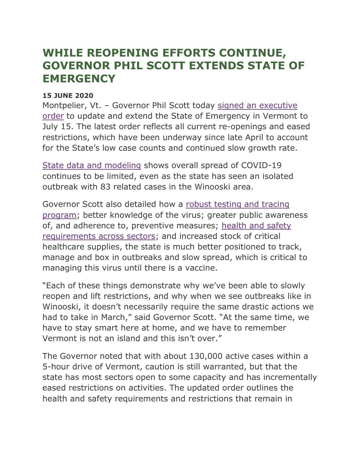## **WHILE REOPENING EFFORTS CONTINUE, GOVERNOR PHIL SCOTT EXTENDS STATE OF EMERGENCY**

## **15 JUNE 2020**

Montpelier, Vt. – Governor Phil Scott today [signed an executive](https://governor.vermont.gov/sites/scott/files/documents/Amended%20and%20Restated%20Executive%20Order%20No.%2001-20.pdf)  [order](https://governor.vermont.gov/sites/scott/files/documents/Amended%20and%20Restated%20Executive%20Order%20No.%2001-20.pdf) to update and extend the State of Emergency in Vermont to July 15. The latest order reflects all current re-openings and eased restrictions, which have been underway since late April to account for the State's low case counts and continued slow growth rate.

[State data and modeling](https://dfr.vermont.gov/about-us/covid-19/modeling) shows overall spread of COVID-19 continues to be limited, even as the state has seen an isolated outbreak with 83 related cases in the Winooski area.

Governor Scott also detailed how a [robust testing and tracing](https://governor.vermont.gov/press-release/governor-phil-scott-announces-enhanced-testing-and-contact-tracing-programs)  [program;](https://governor.vermont.gov/press-release/governor-phil-scott-announces-enhanced-testing-and-contact-tracing-programs) better knowledge of the virus; greater public awareness of, and adherence to, preventive measures; health and safety [requirements across sectors;](https://accd.vermont.gov/covid-19/business/stay-home-stay-safe-sector-specific-guidance) and increased stock of critical healthcare supplies, the state is much better positioned to track, manage and box in outbreaks and slow spread, which is critical to managing this virus until there is a vaccine.

"Each of these things demonstrate why we've been able to slowly reopen and lift restrictions, and why when we see outbreaks like in Winooski, it doesn't necessarily require the same drastic actions we had to take in March," said Governor Scott. "At the same time, we have to stay smart here at home, and we have to remember Vermont is not an island and this isn't over."

The Governor noted that with about 130,000 active cases within a 5-hour drive of Vermont, caution is still warranted, but that the state has most sectors open to some capacity and has incrementally eased restrictions on activities. The updated order outlines the health and safety requirements and restrictions that remain in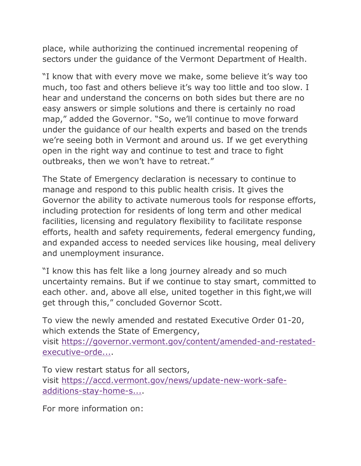place, while authorizing the continued incremental reopening of sectors under the guidance of the Vermont Department of Health.

"I know that with every move we make, some believe it's way too much, too fast and others believe it's way too little and too slow. I hear and understand the concerns on both sides but there are no easy answers or simple solutions and there is certainly no road map," added the Governor. "So, we'll continue to move forward under the guidance of our health experts and based on the trends we're seeing both in Vermont and around us. If we get everything open in the right way and continue to test and trace to fight outbreaks, then we won't have to retreat."

The State of Emergency declaration is necessary to continue to manage and respond to this public health crisis. It gives the Governor the ability to activate numerous tools for response efforts, including protection for residents of long term and other medical facilities, licensing and regulatory flexibility to facilitate response efforts, health and safety requirements, federal emergency funding, and expanded access to needed services like housing, meal delivery and unemployment insurance.

"I know this has felt like a long journey already and so much uncertainty remains. But if we continue to stay smart, committed to each other. and, above all else, united together in this fight,we will get through this," concluded Governor Scott.

To view the newly amended and restated Executive Order 01-20, which extends the State of Emergency, visit [https://governor.vermont.gov/content/amended-and-restated](https://governor.vermont.gov/content/amended-and-restated-executive-order-no-01-20)[executive-orde....](https://governor.vermont.gov/content/amended-and-restated-executive-order-no-01-20)

To view restart status for all sectors, visit [https://accd.vermont.gov/news/update-new-work-safe](https://accd.vermont.gov/news/update-new-work-safe-additions-stay-home-stay-safe-order)[additions-stay-home-s....](https://accd.vermont.gov/news/update-new-work-safe-additions-stay-home-stay-safe-order)

For more information on: